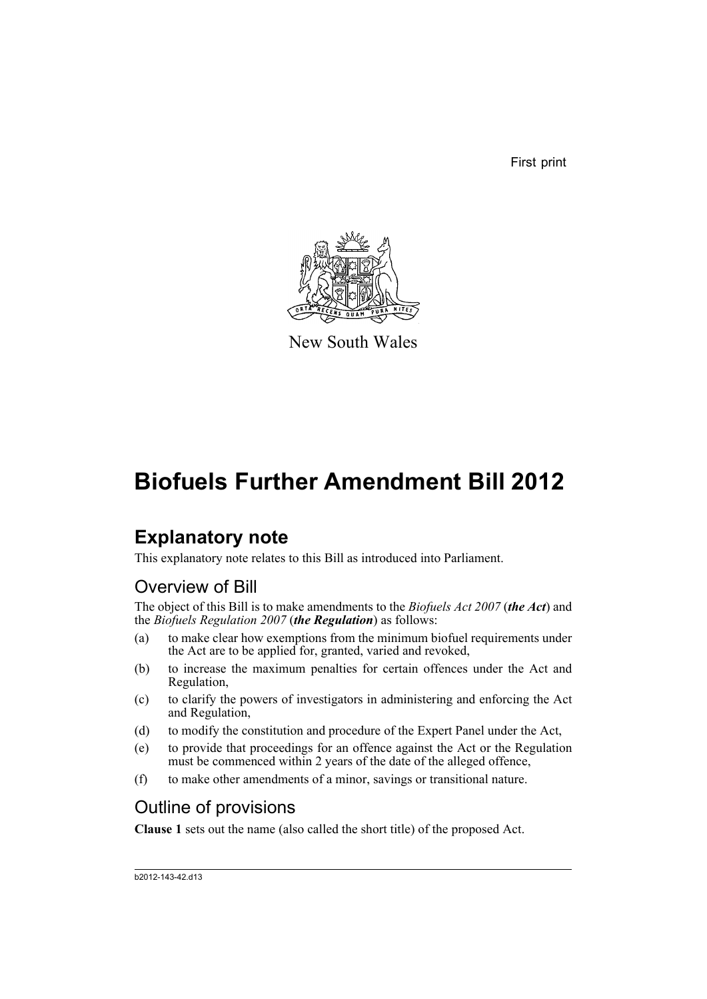First print



New South Wales

## **Biofuels Further Amendment Bill 2012**

## **Explanatory note**

This explanatory note relates to this Bill as introduced into Parliament.

## Overview of Bill

The object of this Bill is to make amendments to the *Biofuels Act 2007* (*the Act*) and the *Biofuels Regulation 2007* (*the Regulation*) as follows:

- (a) to make clear how exemptions from the minimum biofuel requirements under the Act are to be applied for, granted, varied and revoked,
- (b) to increase the maximum penalties for certain offences under the Act and Regulation,
- (c) to clarify the powers of investigators in administering and enforcing the Act and Regulation,
- (d) to modify the constitution and procedure of the Expert Panel under the Act,
- (e) to provide that proceedings for an offence against the Act or the Regulation must be commenced within 2 years of the date of the alleged offence,
- (f) to make other amendments of a minor, savings or transitional nature.

## Outline of provisions

**Clause 1** sets out the name (also called the short title) of the proposed Act.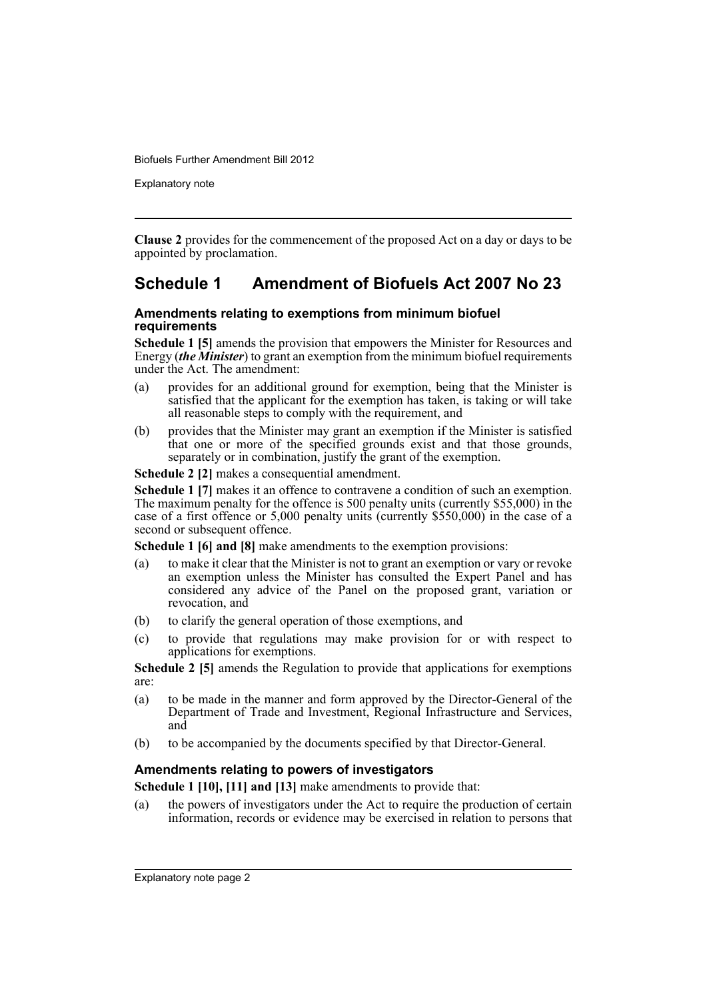Explanatory note

**Clause 2** provides for the commencement of the proposed Act on a day or days to be appointed by proclamation.

## **Schedule 1 Amendment of Biofuels Act 2007 No 23**

### **Amendments relating to exemptions from minimum biofuel requirements**

**Schedule 1 [5]** amends the provision that empowers the Minister for Resources and Energy (*the Minister*) to grant an exemption from the minimum biofuel requirements under the Act. The amendment:

- (a) provides for an additional ground for exemption, being that the Minister is satisfied that the applicant for the exemption has taken, is taking or will take all reasonable steps to comply with the requirement, and
- (b) provides that the Minister may grant an exemption if the Minister is satisfied that one or more of the specified grounds exist and that those grounds, separately or in combination, justify the grant of the exemption.

**Schedule 2 [2]** makes a consequential amendment.

**Schedule 1 [7]** makes it an offence to contravene a condition of such an exemption. The maximum penalty for the offence is 500 penalty units (currently \$55,000) in the case of a first offence or 5,000 penalty units (currently \$550,000) in the case of a second or subsequent offence.

**Schedule 1 [6] and [8]** make amendments to the exemption provisions:

- (a) to make it clear that the Minister is not to grant an exemption or vary or revoke an exemption unless the Minister has consulted the Expert Panel and has considered any advice of the Panel on the proposed grant, variation or revocation, and
- (b) to clarify the general operation of those exemptions, and
- (c) to provide that regulations may make provision for or with respect to applications for exemptions.

**Schedule 2 [5]** amends the Regulation to provide that applications for exemptions are:

- (a) to be made in the manner and form approved by the Director-General of the Department of Trade and Investment, Regional Infrastructure and Services, and
- (b) to be accompanied by the documents specified by that Director-General.

### **Amendments relating to powers of investigators**

**Schedule 1 [10], [11] and [13]** make amendments to provide that:

(a) the powers of investigators under the Act to require the production of certain information, records or evidence may be exercised in relation to persons that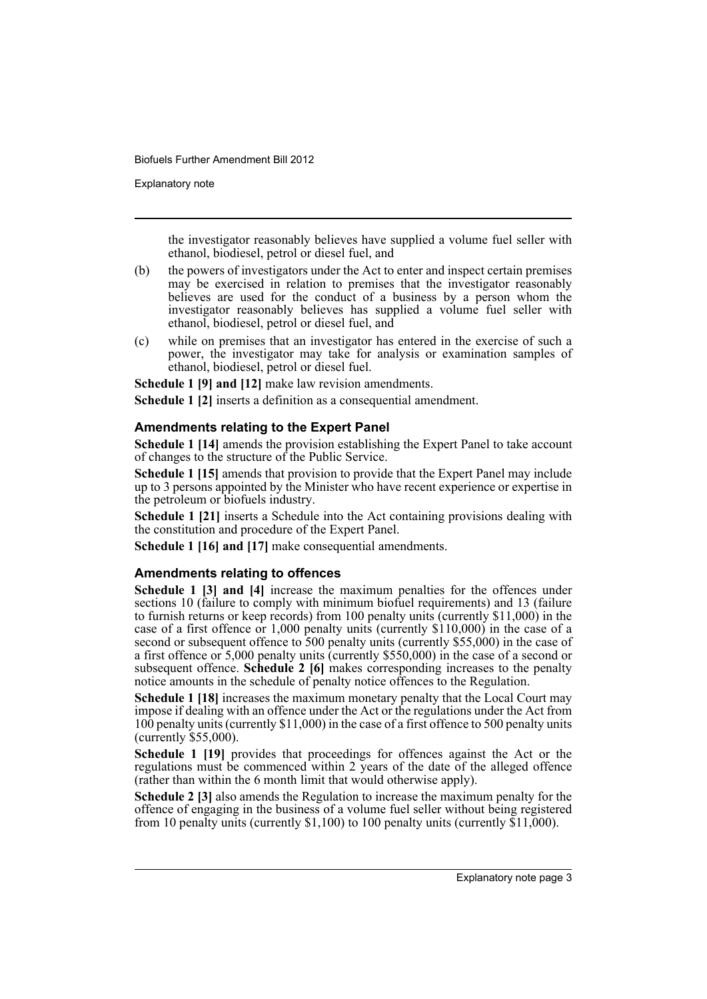Explanatory note

the investigator reasonably believes have supplied a volume fuel seller with ethanol, biodiesel, petrol or diesel fuel, and

- (b) the powers of investigators under the Act to enter and inspect certain premises may be exercised in relation to premises that the investigator reasonably believes are used for the conduct of a business by a person whom the investigator reasonably believes has supplied a volume fuel seller with ethanol, biodiesel, petrol or diesel fuel, and
- (c) while on premises that an investigator has entered in the exercise of such a power, the investigator may take for analysis or examination samples of ethanol, biodiesel, petrol or diesel fuel.

**Schedule 1 [9] and [12]** make law revision amendments.

**Schedule 1 [2]** inserts a definition as a consequential amendment.

### **Amendments relating to the Expert Panel**

**Schedule 1 [14]** amends the provision establishing the Expert Panel to take account of changes to the structure of the Public Service.

**Schedule 1 [15]** amends that provision to provide that the Expert Panel may include up to 3 persons appointed by the Minister who have recent experience or expertise in the petroleum or biofuels industry.

**Schedule 1 [21]** inserts a Schedule into the Act containing provisions dealing with the constitution and procedure of the Expert Panel.

**Schedule 1 [16] and [17]** make consequential amendments.

### **Amendments relating to offences**

**Schedule 1 [3] and [4]** increase the maximum penalties for the offences under sections 10 (failure to comply with minimum biofuel requirements) and 13 (failure to furnish returns or keep records) from 100 penalty units (currently \$11,000) in the case of a first offence or 1,000 penalty units (currently \$110,000) in the case of a second or subsequent offence to 500 penalty units (currently \$55,000) in the case of a first offence or 5,000 penalty units (currently \$550,000) in the case of a second or subsequent offence. **Schedule 2 [6]** makes corresponding increases to the penalty notice amounts in the schedule of penalty notice offences to the Regulation.

**Schedule 1 [18]** increases the maximum monetary penalty that the Local Court may impose if dealing with an offence under the Act or the regulations under the Act from 100 penalty units (currently \$11,000) in the case of a first offence to 500 penalty units (currently \$55,000).

**Schedule 1 [19]** provides that proceedings for offences against the Act or the regulations must be commenced within 2 years of the date of the alleged offence (rather than within the 6 month limit that would otherwise apply).

**Schedule 2 [3]** also amends the Regulation to increase the maximum penalty for the offence of engaging in the business of a volume fuel seller without being registered from 10 penalty units (currently  $$1,100$ ) to 100 penalty units (currently  $$11,000$ ).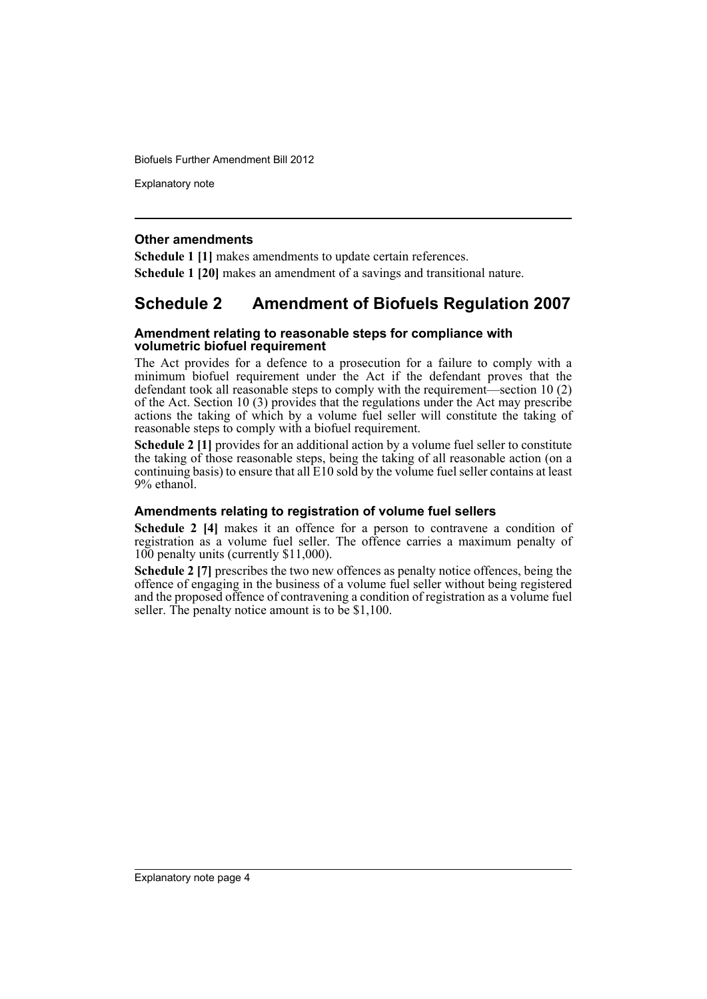Explanatory note

### **Other amendments**

**Schedule 1 [1]** makes amendments to update certain references.

**Schedule 1 [20]** makes an amendment of a savings and transitional nature.

## **Schedule 2 Amendment of Biofuels Regulation 2007**

### **Amendment relating to reasonable steps for compliance with volumetric biofuel requirement**

The Act provides for a defence to a prosecution for a failure to comply with a minimum biofuel requirement under the Act if the defendant proves that the defendant took all reasonable steps to comply with the requirement—section 10 (2) of the Act. Section 10 (3) provides that the regulations under the Act may prescribe actions the taking of which by a volume fuel seller will constitute the taking of reasonable steps to comply with a biofuel requirement.

**Schedule 2 [1]** provides for an additional action by a volume fuel seller to constitute the taking of those reasonable steps, being the taking of all reasonable action (on a continuing basis) to ensure that all E10 sold by the volume fuel seller contains at least 9% ethanol.

### **Amendments relating to registration of volume fuel sellers**

**Schedule 2 [4]** makes it an offence for a person to contravene a condition of registration as a volume fuel seller. The offence carries a maximum penalty of 100 penalty units (currently \$11,000).

**Schedule 2 [7]** prescribes the two new offences as penalty notice offences, being the offence of engaging in the business of a volume fuel seller without being registered and the proposed offence of contravening a condition of registration as a volume fuel seller. The penalty notice amount is to be \$1,100.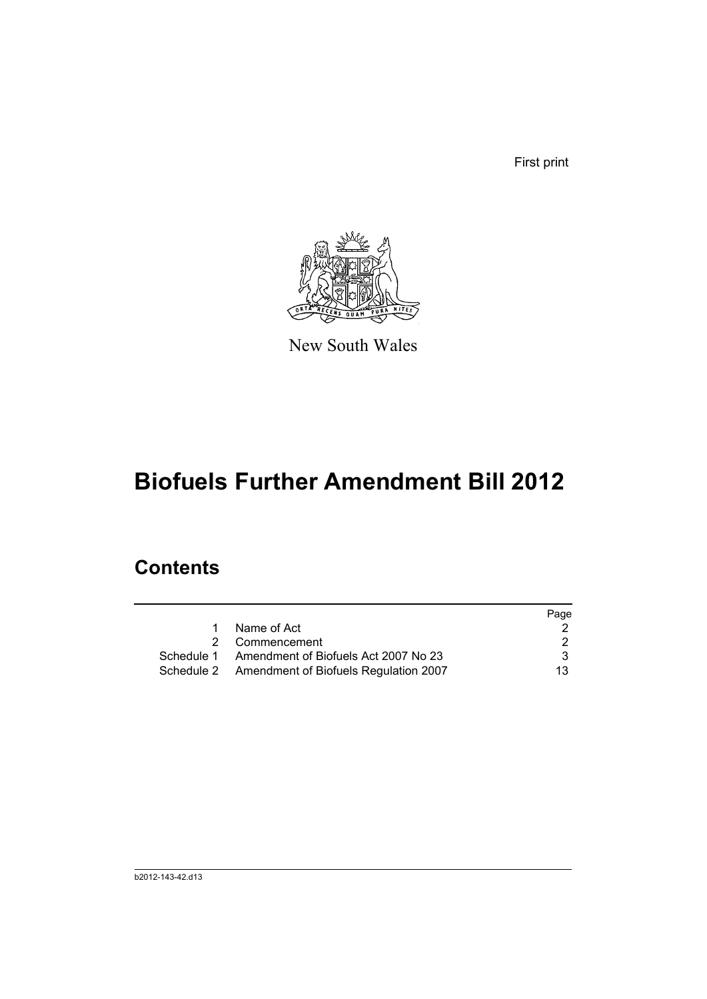First print



New South Wales

# **Biofuels Further Amendment Bill 2012**

## **Contents**

|   |                                                  | Page |
|---|--------------------------------------------------|------|
| 1 | Name of Act                                      |      |
|   | 2 Commencement                                   | 2    |
|   | Schedule 1 Amendment of Biofuels Act 2007 No 23  | 3    |
|   | Schedule 2 Amendment of Biofuels Regulation 2007 | 13.  |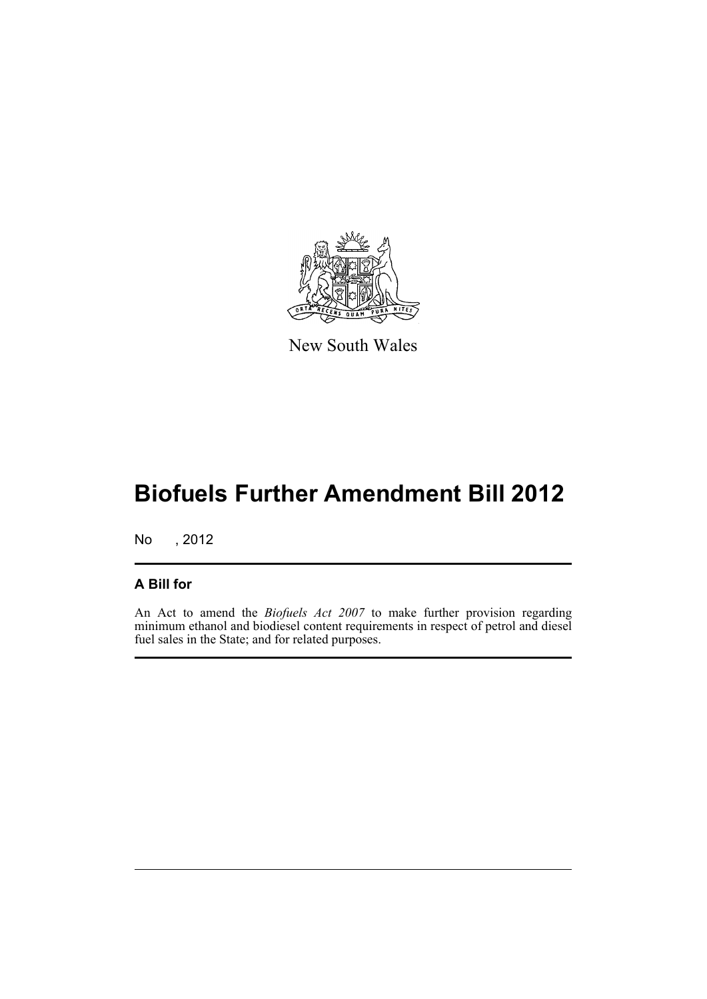

New South Wales

## **Biofuels Further Amendment Bill 2012**

No , 2012

## **A Bill for**

An Act to amend the *Biofuels Act 2007* to make further provision regarding minimum ethanol and biodiesel content requirements in respect of petrol and diesel fuel sales in the State; and for related purposes.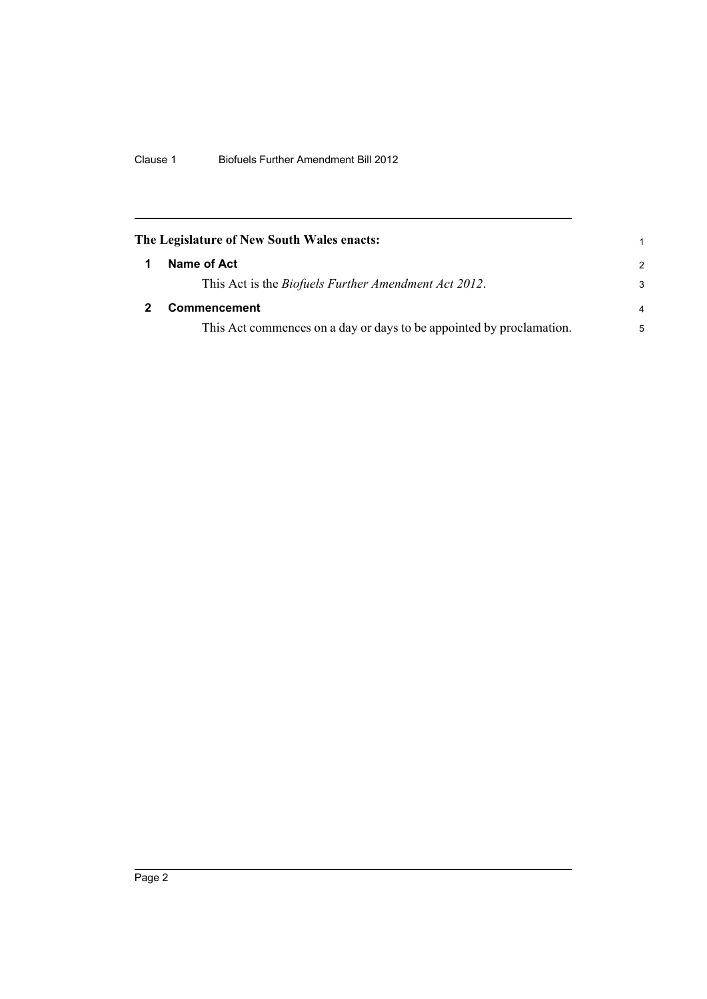<span id="page-7-1"></span><span id="page-7-0"></span>

| The Legislature of New South Wales enacts:                           |                |  |
|----------------------------------------------------------------------|----------------|--|
| Name of Act                                                          | $\mathcal{P}$  |  |
| This Act is the <i>Biofuels Further Amendment Act 2012</i> .         | 3              |  |
| <b>Commencement</b>                                                  | $\overline{a}$ |  |
| This Act commences on a day or days to be appointed by proclamation. | 5              |  |
|                                                                      |                |  |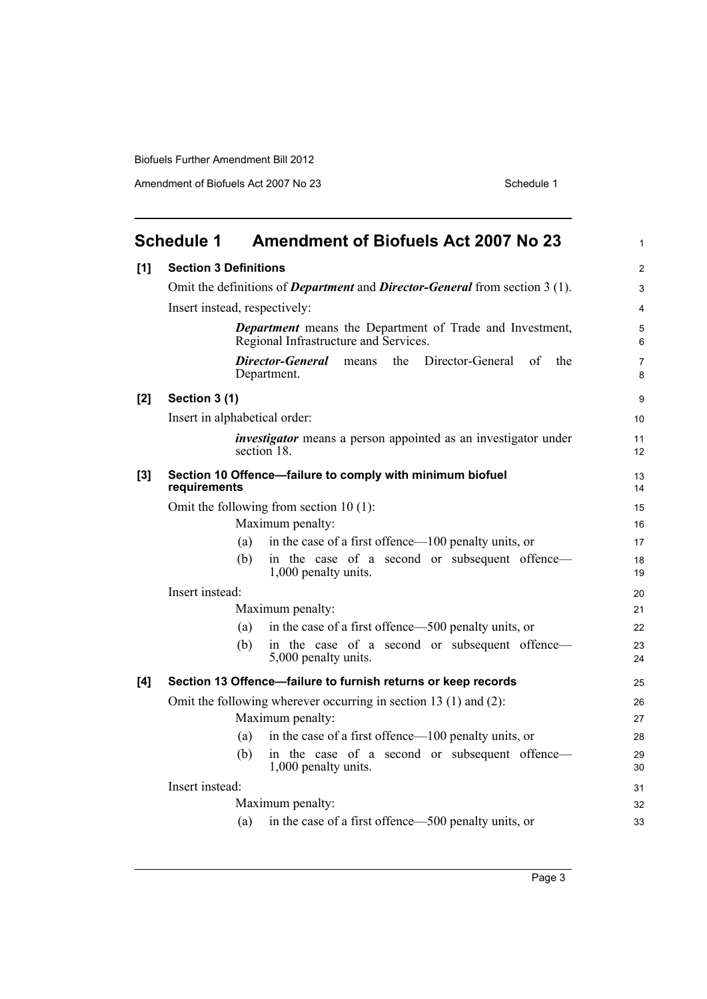Amendment of Biofuels Act 2007 No 23 Schedule 1

<span id="page-8-0"></span>

|     | <b>Schedule 1</b>             | <b>Amendment of Biofuels Act 2007 No 23</b>                                                              | $\mathbf{1}$        |
|-----|-------------------------------|----------------------------------------------------------------------------------------------------------|---------------------|
| [1] | <b>Section 3 Definitions</b>  |                                                                                                          | 2                   |
|     |                               | Omit the definitions of <i>Department</i> and <i>Director-General</i> from section 3 (1).                | $\mathsf 3$         |
|     | Insert instead, respectively: |                                                                                                          | $\overline{4}$      |
|     |                               | <b>Department</b> means the Department of Trade and Investment,<br>Regional Infrastructure and Services. | $\overline{5}$<br>6 |
|     |                               | Director-General<br>the<br>Director-General<br>of<br>the<br>means<br>Department.                         | $\overline{7}$<br>8 |
| [2] | Section 3 (1)                 |                                                                                                          | 9                   |
|     | Insert in alphabetical order: |                                                                                                          | 10                  |
|     |                               | <i>investigator</i> means a person appointed as an investigator under<br>section 18                      | 11<br>12            |
| [3] | requirements                  | Section 10 Offence-failure to comply with minimum biofuel                                                | 13<br>14            |
|     |                               | Omit the following from section $10(1)$ :                                                                | 15                  |
|     |                               | Maximum penalty:                                                                                         | 16                  |
|     | (a)                           | in the case of a first offence—100 penalty units, or                                                     | 17                  |
|     | (b)                           | in the case of a second or subsequent offence-<br>1,000 penalty units.                                   | 18<br>19            |
|     | Insert instead:               |                                                                                                          | 20                  |
|     |                               | Maximum penalty:                                                                                         | 21                  |
|     | (a)                           | in the case of a first offence—500 penalty units, or                                                     | 22                  |
|     | (b)                           | in the case of a second or subsequent offence-<br>5,000 penalty units.                                   | 23<br>24            |
| [4] |                               | Section 13 Offence-failure to furnish returns or keep records                                            | 25                  |
|     |                               | Omit the following wherever occurring in section 13 (1) and (2):                                         | 26                  |
|     |                               | Maximum penalty:                                                                                         | 27                  |
|     | (a)                           | in the case of a first offence—100 penalty units, or                                                     | 28                  |
|     | (b)                           | in the case of a second or subsequent offence-<br>1,000 penalty units.                                   | 29<br>30            |
|     | Insert instead:               |                                                                                                          | 31                  |
|     |                               | Maximum penalty:                                                                                         | 32                  |
|     | (a)                           | in the case of a first offence—500 penalty units, or                                                     | 33                  |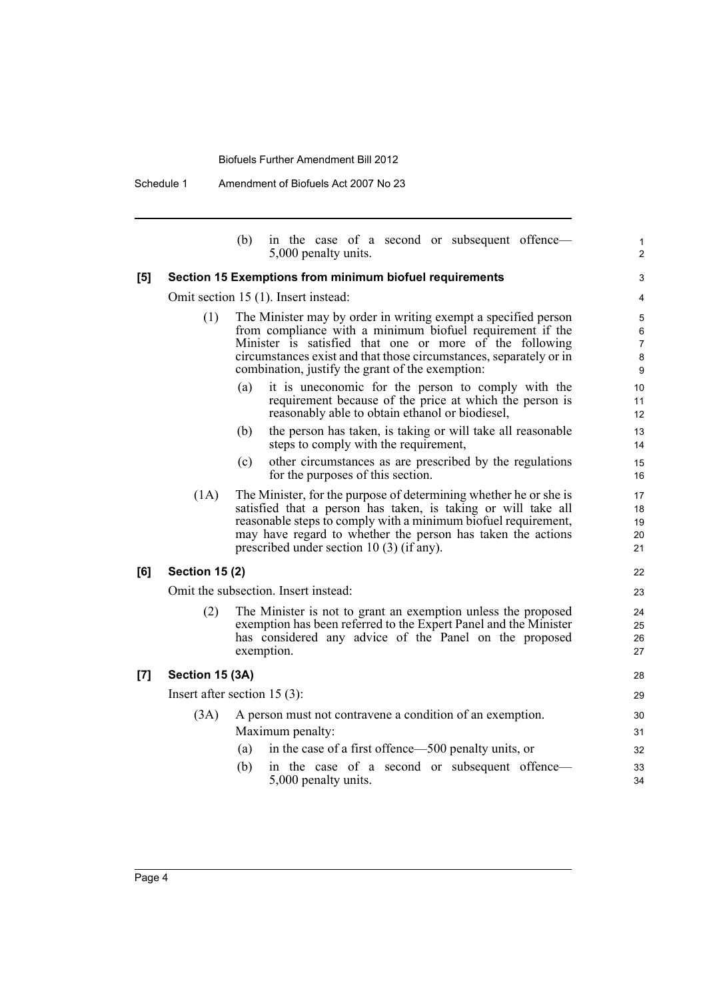Schedule 1 Amendment of Biofuels Act 2007 No 23

|     |                       | (b)<br>in the case of a second or subsequent offence—<br>5,000 penalty units.                                                                                                                                                                                                                                    | 1<br>$\overline{2}$                      |
|-----|-----------------------|------------------------------------------------------------------------------------------------------------------------------------------------------------------------------------------------------------------------------------------------------------------------------------------------------------------|------------------------------------------|
| [5] |                       | Section 15 Exemptions from minimum biofuel requirements                                                                                                                                                                                                                                                          | $\ensuremath{\mathsf{3}}$                |
|     |                       | Omit section 15 (1). Insert instead:                                                                                                                                                                                                                                                                             | 4                                        |
|     | (1)                   | The Minister may by order in writing exempt a specified person<br>from compliance with a minimum biofuel requirement if the<br>Minister is satisfied that one or more of the following<br>circumstances exist and that those circumstances, separately or in<br>combination, justify the grant of the exemption: | 5<br>$\,6\,$<br>$\overline{7}$<br>8<br>9 |
|     |                       | it is uneconomic for the person to comply with the<br>(a)<br>requirement because of the price at which the person is<br>reasonably able to obtain ethanol or biodiesel,                                                                                                                                          | 10<br>11<br>12                           |
|     |                       | the person has taken, is taking or will take all reasonable<br>(b)<br>steps to comply with the requirement,                                                                                                                                                                                                      | 13<br>14                                 |
|     |                       | (c)<br>other circumstances as are prescribed by the regulations<br>for the purposes of this section.                                                                                                                                                                                                             | 15<br>16                                 |
|     | (1A)                  | The Minister, for the purpose of determining whether he or she is<br>satisfied that a person has taken, is taking or will take all<br>reasonable steps to comply with a minimum biofuel requirement,<br>may have regard to whether the person has taken the actions<br>prescribed under section 10 (3) (if any). | 17<br>18<br>19<br>20<br>21               |
| [6] | <b>Section 15 (2)</b> |                                                                                                                                                                                                                                                                                                                  | 22                                       |
|     |                       | Omit the subsection. Insert instead:                                                                                                                                                                                                                                                                             | 23                                       |
|     | (2)                   | The Minister is not to grant an exemption unless the proposed<br>exemption has been referred to the Expert Panel and the Minister<br>has considered any advice of the Panel on the proposed<br>exemption.                                                                                                        | 24<br>25<br>26<br>27                     |
| [7] | Section 15 (3A)       |                                                                                                                                                                                                                                                                                                                  | 28                                       |
|     |                       | Insert after section $15(3)$ :                                                                                                                                                                                                                                                                                   | 29                                       |
|     | (3A)                  | A person must not contravene a condition of an exemption.                                                                                                                                                                                                                                                        | 30                                       |
|     |                       | Maximum penalty:                                                                                                                                                                                                                                                                                                 | 31                                       |
|     |                       | in the case of a first offence—500 penalty units, or<br>(a)                                                                                                                                                                                                                                                      | 32                                       |
|     |                       | in the case of a second or subsequent offence—<br>(b)<br>5,000 penalty units.                                                                                                                                                                                                                                    | 33<br>34                                 |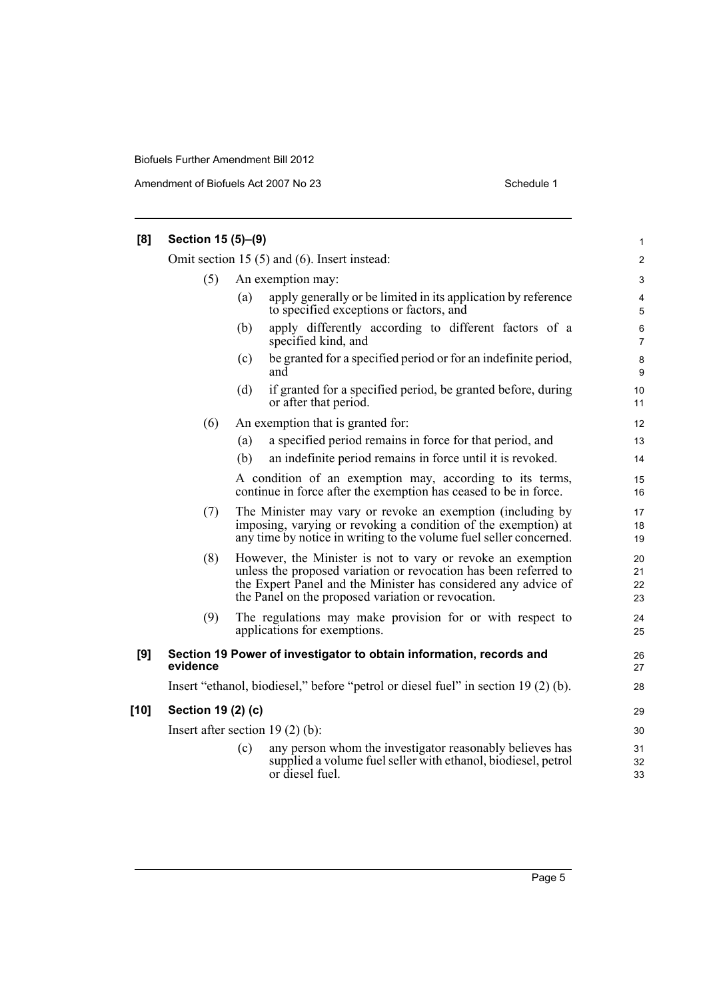Amendment of Biofuels Act 2007 No 23 Schedule 1

| [8]  | Section 15 (5)-(9)                                |                                   |                                                                                                                                                                                                                                                         |                      |
|------|---------------------------------------------------|-----------------------------------|---------------------------------------------------------------------------------------------------------------------------------------------------------------------------------------------------------------------------------------------------------|----------------------|
|      | Omit section 15 $(5)$ and $(6)$ . Insert instead: |                                   |                                                                                                                                                                                                                                                         |                      |
|      | (5)<br>An exemption may:                          |                                   |                                                                                                                                                                                                                                                         |                      |
|      |                                                   | (a)                               | apply generally or be limited in its application by reference<br>to specified exceptions or factors, and                                                                                                                                                | 4<br>5               |
|      |                                                   | (b)                               | apply differently according to different factors of a<br>specified kind, and                                                                                                                                                                            | 6<br>$\overline{7}$  |
|      |                                                   | (c)                               | be granted for a specified period or for an indefinite period,<br>and                                                                                                                                                                                   | 8<br>9               |
|      |                                                   | (d)                               | if granted for a specified period, be granted before, during<br>or after that period.                                                                                                                                                                   | 10<br>11             |
|      | (6)                                               |                                   | An exemption that is granted for:                                                                                                                                                                                                                       | 12                   |
|      |                                                   | (a)                               | a specified period remains in force for that period, and                                                                                                                                                                                                | 13                   |
|      |                                                   | (b)                               | an indefinite period remains in force until it is revoked.                                                                                                                                                                                              | 14                   |
|      |                                                   |                                   | A condition of an exemption may, according to its terms,<br>continue in force after the exemption has ceased to be in force.                                                                                                                            | 15<br>16             |
|      | (7)                                               |                                   | The Minister may vary or revoke an exemption (including by<br>imposing, varying or revoking a condition of the exemption) at<br>any time by notice in writing to the volume fuel seller concerned.                                                      | 17<br>18<br>19       |
|      | (8)                                               |                                   | However, the Minister is not to vary or revoke an exemption<br>unless the proposed variation or revocation has been referred to<br>the Expert Panel and the Minister has considered any advice of<br>the Panel on the proposed variation or revocation. | 20<br>21<br>22<br>23 |
|      | (9)                                               |                                   | The regulations may make provision for or with respect to<br>applications for exemptions.                                                                                                                                                               | 24<br>25             |
| [9]  | evidence                                          |                                   | Section 19 Power of investigator to obtain information, records and                                                                                                                                                                                     | 26<br>27             |
|      |                                                   |                                   | Insert "ethanol, biodiesel," before "petrol or diesel fuel" in section 19 (2) (b).                                                                                                                                                                      | 28                   |
| [10] | Section 19 (2) (c)                                |                                   |                                                                                                                                                                                                                                                         | 29                   |
|      |                                                   | Insert after section $19(2)$ (b): |                                                                                                                                                                                                                                                         |                      |
|      |                                                   | (c)                               | any person whom the investigator reasonably believes has<br>supplied a volume fuel seller with ethanol, biodiesel, petrol<br>or diesel fuel.                                                                                                            | 31<br>32<br>33       |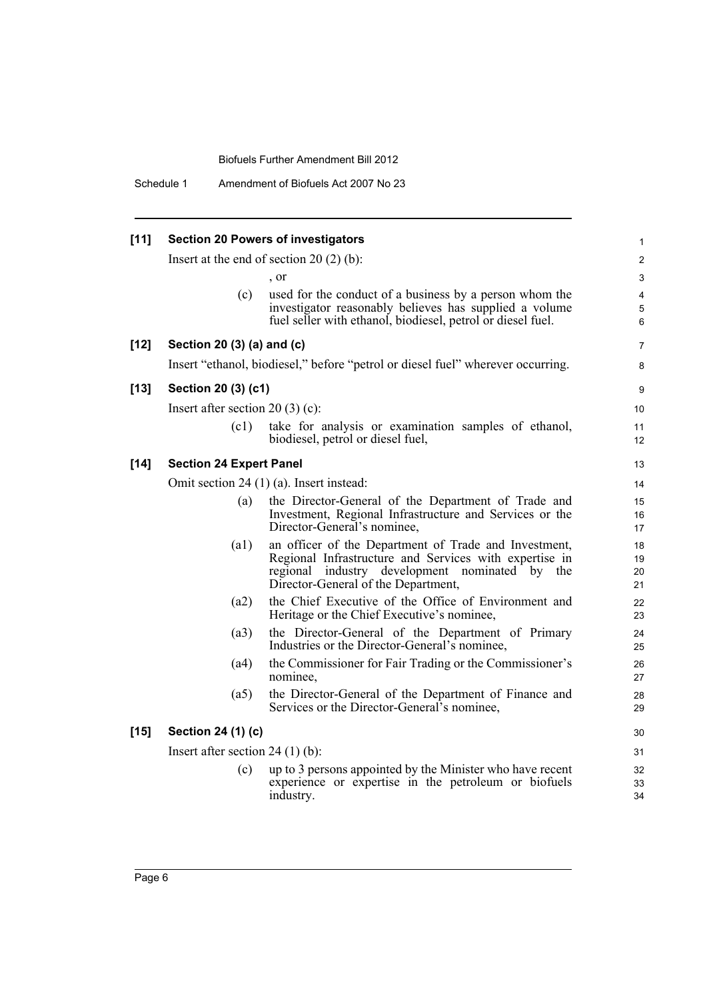Schedule 1 Amendment of Biofuels Act 2007 No 23

| $[11]$ | <b>Section 20 Powers of investigators</b> |                                                                                                                                                                                                             |                      |
|--------|-------------------------------------------|-------------------------------------------------------------------------------------------------------------------------------------------------------------------------------------------------------------|----------------------|
|        |                                           | Insert at the end of section 20 $(2)$ (b):                                                                                                                                                                  | $\overline{c}$       |
|        |                                           | , or                                                                                                                                                                                                        | 3                    |
|        | (c)                                       | used for the conduct of a business by a person whom the<br>investigator reasonably believes has supplied a volume<br>fuel seller with ethanol, biodiesel, petrol or diesel fuel.                            | 4<br>5<br>6          |
| $[12]$ | Section 20 (3) (a) and (c)                |                                                                                                                                                                                                             | 7                    |
|        |                                           | Insert "ethanol, biodiesel," before "petrol or diesel fuel" wherever occurring.                                                                                                                             | 8                    |
| $[13]$ | Section 20 (3) (c1)                       |                                                                                                                                                                                                             | 9                    |
|        | Insert after section 20 $(3)(c)$ :        |                                                                                                                                                                                                             | 10                   |
|        | (c1)                                      | take for analysis or examination samples of ethanol,<br>biodiesel, petrol or diesel fuel,                                                                                                                   | 11<br>12             |
| $[14]$ | <b>Section 24 Expert Panel</b>            |                                                                                                                                                                                                             | 13                   |
|        |                                           | Omit section 24 $(1)$ (a). Insert instead:                                                                                                                                                                  | 14                   |
|        | (a)                                       | the Director-General of the Department of Trade and<br>Investment, Regional Infrastructure and Services or the<br>Director-General's nominee,                                                               | 15<br>16<br>17       |
|        | (a1)                                      | an officer of the Department of Trade and Investment,<br>Regional Infrastructure and Services with expertise in<br>regional industry development nominated by<br>the<br>Director-General of the Department, | 18<br>19<br>20<br>21 |
|        | (a2)                                      | the Chief Executive of the Office of Environment and<br>Heritage or the Chief Executive's nominee,                                                                                                          | 22<br>23             |
|        | (a3)                                      | the Director-General of the Department of Primary<br>Industries or the Director-General's nominee,                                                                                                          | 24<br>25             |
|        | (a4)                                      | the Commissioner for Fair Trading or the Commissioner's<br>nominee,                                                                                                                                         | 26<br>27             |
|        | (a5)                                      | the Director-General of the Department of Finance and<br>Services or the Director-General's nominee,                                                                                                        | 28<br>29             |
| $[15]$ | Section 24 (1) (c)                        |                                                                                                                                                                                                             | 30                   |
|        | Insert after section 24 $(1)$ $(b)$ :     |                                                                                                                                                                                                             | 31                   |
|        | (c)                                       | up to 3 persons appointed by the Minister who have recent<br>experience or expertise in the petroleum or biofuels<br>industry.                                                                              | 32<br>33<br>34       |
|        |                                           |                                                                                                                                                                                                             |                      |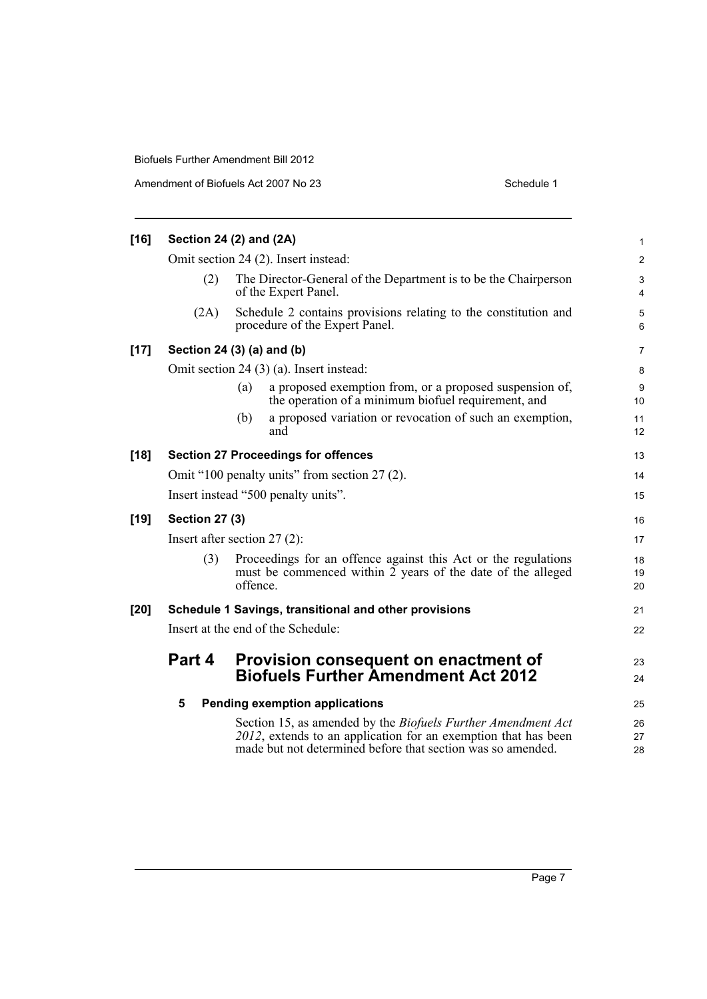Amendment of Biofuels Act 2007 No 23 Schedule 1

| $[16]$ | Section 24 (2) and (2A) |                                                                                                                                                                                                      |                               |
|--------|-------------------------|------------------------------------------------------------------------------------------------------------------------------------------------------------------------------------------------------|-------------------------------|
|        |                         | Omit section 24 (2). Insert instead:                                                                                                                                                                 | $\overline{2}$                |
|        | (2)                     | The Director-General of the Department is to be the Chairperson<br>of the Expert Panel.                                                                                                              | $\mathsf 3$<br>$\overline{4}$ |
|        | (2A)                    | Schedule 2 contains provisions relating to the constitution and<br>procedure of the Expert Panel.                                                                                                    | 5<br>6                        |
| $[17]$ |                         | Section 24 (3) (a) and (b)                                                                                                                                                                           | 7                             |
|        |                         | Omit section 24 (3) (a). Insert instead:                                                                                                                                                             | 8                             |
|        |                         | a proposed exemption from, or a proposed suspension of,<br>(a)<br>the operation of a minimum biofuel requirement, and                                                                                | 9<br>10                       |
|        |                         | a proposed variation or revocation of such an exemption,<br>(b)<br>and                                                                                                                               | 11<br>12                      |
| $[18]$ |                         | <b>Section 27 Proceedings for offences</b>                                                                                                                                                           | 13                            |
|        |                         | Omit "100 penalty units" from section 27 (2).                                                                                                                                                        | 14                            |
|        |                         | Insert instead "500 penalty units".                                                                                                                                                                  | 15                            |
| $[19]$ | <b>Section 27 (3)</b>   |                                                                                                                                                                                                      | 16                            |
|        |                         | Insert after section $27(2)$ :                                                                                                                                                                       | 17                            |
|        | (3)                     | Proceedings for an offence against this Act or the regulations<br>must be commenced within 2 years of the date of the alleged<br>offence.                                                            | 18<br>19<br>20                |
| [20]   |                         | Schedule 1 Savings, transitional and other provisions                                                                                                                                                | 21                            |
|        |                         | Insert at the end of the Schedule:                                                                                                                                                                   | 22                            |
|        | Part 4                  | Provision consequent on enactment of                                                                                                                                                                 | 23                            |
|        |                         | <b>Biofuels Further Amendment Act 2012</b>                                                                                                                                                           | 24                            |
|        | 5                       | <b>Pending exemption applications</b>                                                                                                                                                                | 25                            |
|        |                         | Section 15, as amended by the <i>Biofuels Further Amendment Act</i><br>2012, extends to an application for an exemption that has been<br>made but not determined before that section was so amended. | 26<br>27<br>28                |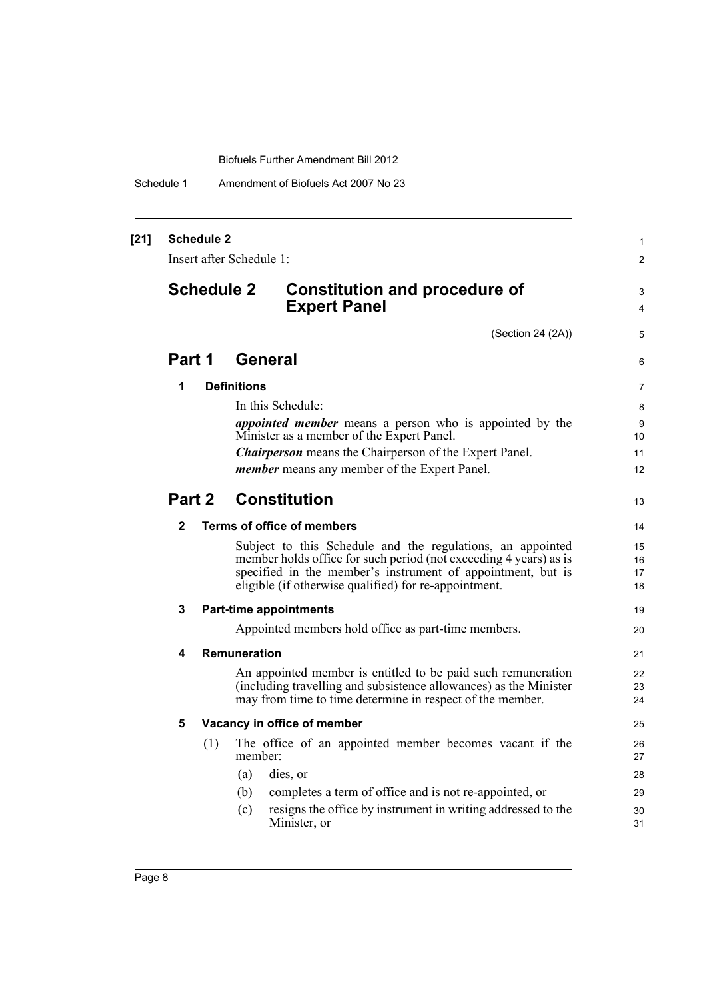Schedule 1 Amendment of Biofuels Act 2007 No 23

| $[21]$ | <b>Schedule 2</b><br>Insert after Schedule 1: |                   |                    | 1<br>$\overline{c}$                                                                                                                                                                                                                                     |                      |
|--------|-----------------------------------------------|-------------------|--------------------|---------------------------------------------------------------------------------------------------------------------------------------------------------------------------------------------------------------------------------------------------------|----------------------|
|        |                                               | <b>Schedule 2</b> |                    | <b>Constitution and procedure of</b><br><b>Expert Panel</b>                                                                                                                                                                                             | 3<br>4               |
|        |                                               |                   |                    | (Section 24 (2A))                                                                                                                                                                                                                                       | 5                    |
|        | Part 1                                        |                   | General            |                                                                                                                                                                                                                                                         | 6                    |
|        | 1                                             |                   | <b>Definitions</b> |                                                                                                                                                                                                                                                         | 7                    |
|        |                                               |                   |                    | In this Schedule:                                                                                                                                                                                                                                       | 8                    |
|        |                                               |                   |                    | <i>appointed member</i> means a person who is appointed by the<br>Minister as a member of the Expert Panel.                                                                                                                                             | 9<br>10              |
|        |                                               |                   |                    | <b>Chairperson</b> means the Chairperson of the Expert Panel.                                                                                                                                                                                           | 11                   |
|        |                                               |                   |                    | member means any member of the Expert Panel.                                                                                                                                                                                                            | 12                   |
|        | Part 2                                        |                   |                    | <b>Constitution</b>                                                                                                                                                                                                                                     |                      |
|        | $\mathbf{2}$                                  |                   |                    | Terms of office of members                                                                                                                                                                                                                              | 14                   |
|        |                                               |                   |                    | Subject to this Schedule and the regulations, an appointed<br>member holds office for such period (not exceeding 4 years) as is<br>specified in the member's instrument of appointment, but is<br>eligible (if otherwise qualified) for re-appointment. | 15<br>16<br>17<br>18 |
|        | 3                                             |                   |                    | <b>Part-time appointments</b>                                                                                                                                                                                                                           | 19                   |
|        |                                               |                   |                    | Appointed members hold office as part-time members.                                                                                                                                                                                                     | 20                   |
|        | 4                                             |                   | Remuneration       |                                                                                                                                                                                                                                                         | 21                   |
|        |                                               |                   |                    | An appointed member is entitled to be paid such remuneration<br>(including travelling and subsistence allowances) as the Minister<br>may from time to time determine in respect of the member.                                                          | 22<br>23<br>24       |
|        | 5                                             |                   |                    | Vacancy in office of member                                                                                                                                                                                                                             | 25                   |
|        |                                               | (1)               | member:            | The office of an appointed member becomes vacant if the                                                                                                                                                                                                 | 26<br>27             |
|        |                                               |                   | (a)                | dies, or                                                                                                                                                                                                                                                | 28                   |
|        |                                               |                   | (b)                | completes a term of office and is not re-appointed, or                                                                                                                                                                                                  | 29                   |
|        |                                               |                   | (c)                | resigns the office by instrument in writing addressed to the<br>Minister, or                                                                                                                                                                            | 30<br>31             |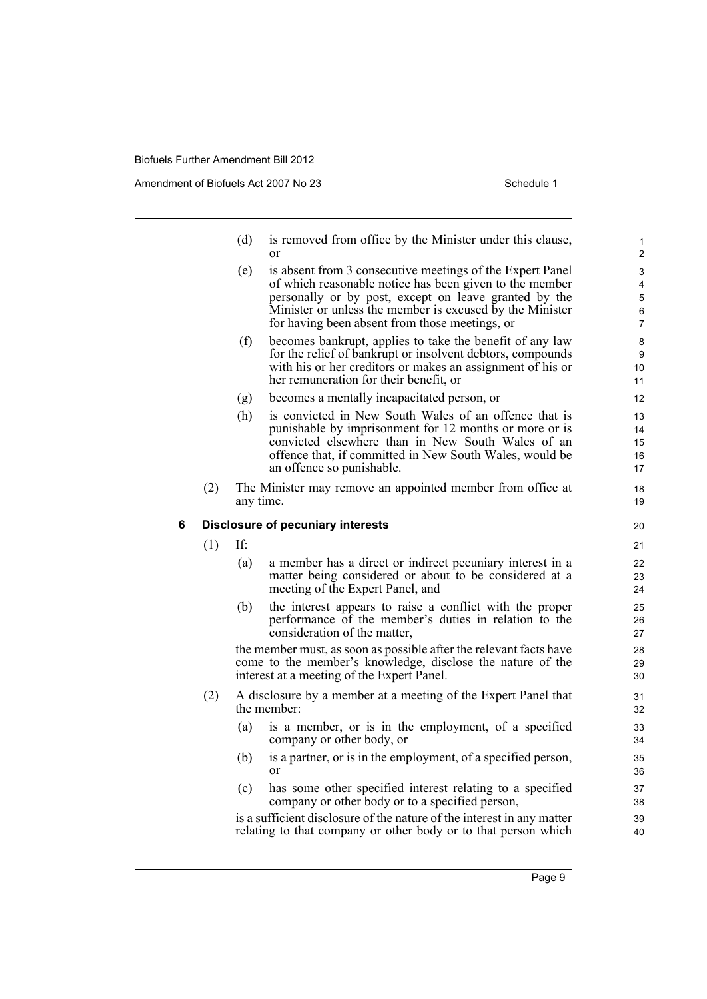Amendment of Biofuels Act 2007 No 23 Schedule 1

- (d) is removed from office by the Minister under this clause, or
- (e) is absent from 3 consecutive meetings of the Expert Panel of which reasonable notice has been given to the member personally or by post, except on leave granted by the Minister or unless the member is excused by the Minister for having been absent from those meetings, or
- (f) becomes bankrupt, applies to take the benefit of any law for the relief of bankrupt or insolvent debtors, compounds with his or her creditors or makes an assignment of his or her remuneration for their benefit, or
- (g) becomes a mentally incapacitated person, or
- (h) is convicted in New South Wales of an offence that is punishable by imprisonment for 12 months or more or is convicted elsewhere than in New South Wales of an offence that, if committed in New South Wales, would be an offence so punishable.
- (2) The Minister may remove an appointed member from office at any time.

### **6 Disclosure of pecuniary interests**

(1) If:

- (a) a member has a direct or indirect pecuniary interest in a matter being considered or about to be considered at a meeting of the Expert Panel, and
- (b) the interest appears to raise a conflict with the proper performance of the member's duties in relation to the consideration of the matter,

the member must, as soon as possible after the relevant facts have come to the member's knowledge, disclose the nature of the interest at a meeting of the Expert Panel.

- (2) A disclosure by a member at a meeting of the Expert Panel that the member:
	- (a) is a member, or is in the employment, of a specified company or other body, or
	- (b) is a partner, or is in the employment, of a specified person, or
	- (c) has some other specified interest relating to a specified company or other body or to a specified person,

is a sufficient disclosure of the nature of the interest in any matter relating to that company or other body or to that person which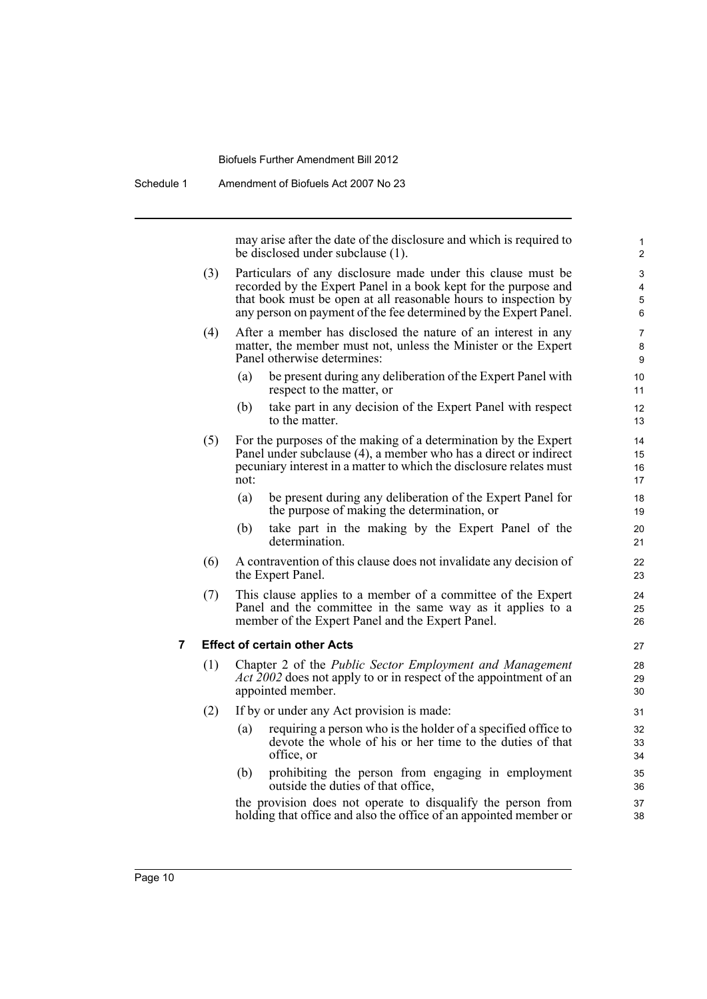Schedule 1 Amendment of Biofuels Act 2007 No 23

may arise after the date of the disclosure and which is required to be disclosed under subclause (1).

- (3) Particulars of any disclosure made under this clause must be recorded by the Expert Panel in a book kept for the purpose and that book must be open at all reasonable hours to inspection by any person on payment of the fee determined by the Expert Panel.
- (4) After a member has disclosed the nature of an interest in any matter, the member must not, unless the Minister or the Expert Panel otherwise determines:
	- (a) be present during any deliberation of the Expert Panel with respect to the matter, or
	- (b) take part in any decision of the Expert Panel with respect to the matter.
- (5) For the purposes of the making of a determination by the Expert Panel under subclause (4), a member who has a direct or indirect pecuniary interest in a matter to which the disclosure relates must not:
	- (a) be present during any deliberation of the Expert Panel for the purpose of making the determination, or
	- (b) take part in the making by the Expert Panel of the determination.
- (6) A contravention of this clause does not invalidate any decision of the Expert Panel.
- (7) This clause applies to a member of a committee of the Expert Panel and the committee in the same way as it applies to a member of the Expert Panel and the Expert Panel.

### **7 Effect of certain other Acts**

- (1) Chapter 2 of the *Public Sector Employment and Management Act 2002* does not apply to or in respect of the appointment of an appointed member.
- (2) If by or under any Act provision is made:
	- (a) requiring a person who is the holder of a specified office to devote the whole of his or her time to the duties of that office, or
	- (b) prohibiting the person from engaging in employment outside the duties of that office,

the provision does not operate to disqualify the person from holding that office and also the office of an appointed member or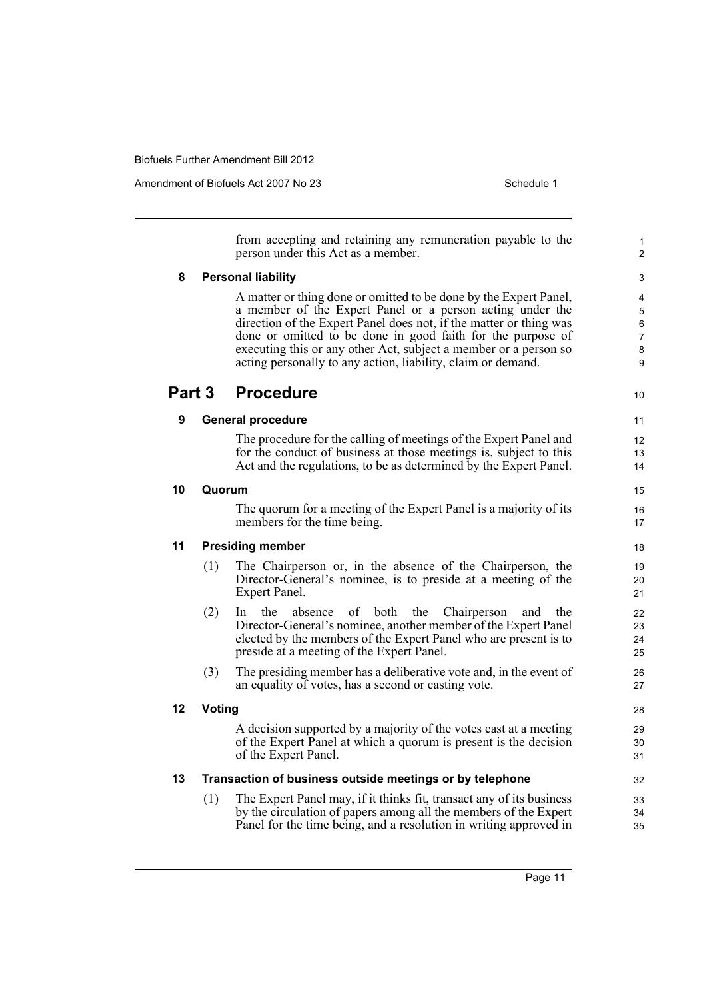Amendment of Biofuels Act 2007 No 23 Schedule 1

from accepting and retaining any remuneration payable to the person under this Act as a member. **8 Personal liability** A matter or thing done or omitted to be done by the Expert Panel, a member of the Expert Panel or a person acting under the direction of the Expert Panel does not, if the matter or thing was done or omitted to be done in good faith for the purpose of executing this or any other Act, subject a member or a person so acting personally to any action, liability, claim or demand. **Part 3 Procedure 9 General procedure** The procedure for the calling of meetings of the Expert Panel and for the conduct of business at those meetings is, subject to this Act and the regulations, to be as determined by the Expert Panel. **10 Quorum** The quorum for a meeting of the Expert Panel is a majority of its members for the time being. **11 Presiding member** (1) The Chairperson or, in the absence of the Chairperson, the Director-General's nominee, is to preside at a meeting of the Expert Panel. (2) In the absence of both the Chairperson and the Director-General's nominee, another member of the Expert Panel elected by the members of the Expert Panel who are present is to preside at a meeting of the Expert Panel. (3) The presiding member has a deliberative vote and, in the event of an equality of votes, has a second or casting vote. **12 Voting** A decision supported by a majority of the votes cast at a meeting of the Expert Panel at which a quorum is present is the decision of the Expert Panel. **13 Transaction of business outside meetings or by telephone** (1) The Expert Panel may, if it thinks fit, transact any of its business by the circulation of papers among all the members of the Expert Panel for the time being, and a resolution in writing approved in 1  $\overline{2}$ 3 4 5 6 7 8 9 10 11 12 13 14 15 16 17 18 19 20 21 22 23 24 25 26 27 28 29 30 31 32 33 34 35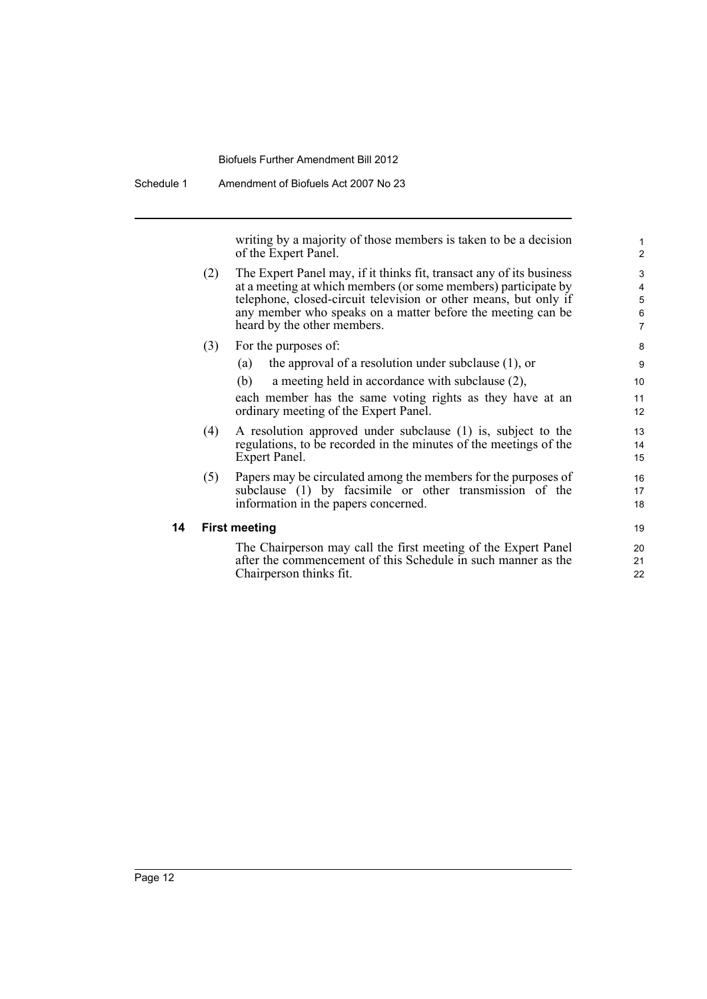Schedule 1 Amendment of Biofuels Act 2007 No 23

writing by a majority of those members is taken to be a decision of the Expert Panel.

- (2) The Expert Panel may, if it thinks fit, transact any of its business at a meeting at which members (or some members) participate by telephone, closed-circuit television or other means, but only if any member who speaks on a matter before the meeting can be heard by the other members.
- (3) For the purposes of:
	- (a) the approval of a resolution under subclause (1), or
	- (b) a meeting held in accordance with subclause (2),

each member has the same voting rights as they have at an ordinary meeting of the Expert Panel.

- (4) A resolution approved under subclause (1) is, subject to the regulations, to be recorded in the minutes of the meetings of the Expert Panel.
- (5) Papers may be circulated among the members for the purposes of subclause (1) by facsimile or other transmission of the information in the papers concerned.

### **14 First meeting**

The Chairperson may call the first meeting of the Expert Panel after the commencement of this Schedule in such manner as the Chairperson thinks fit.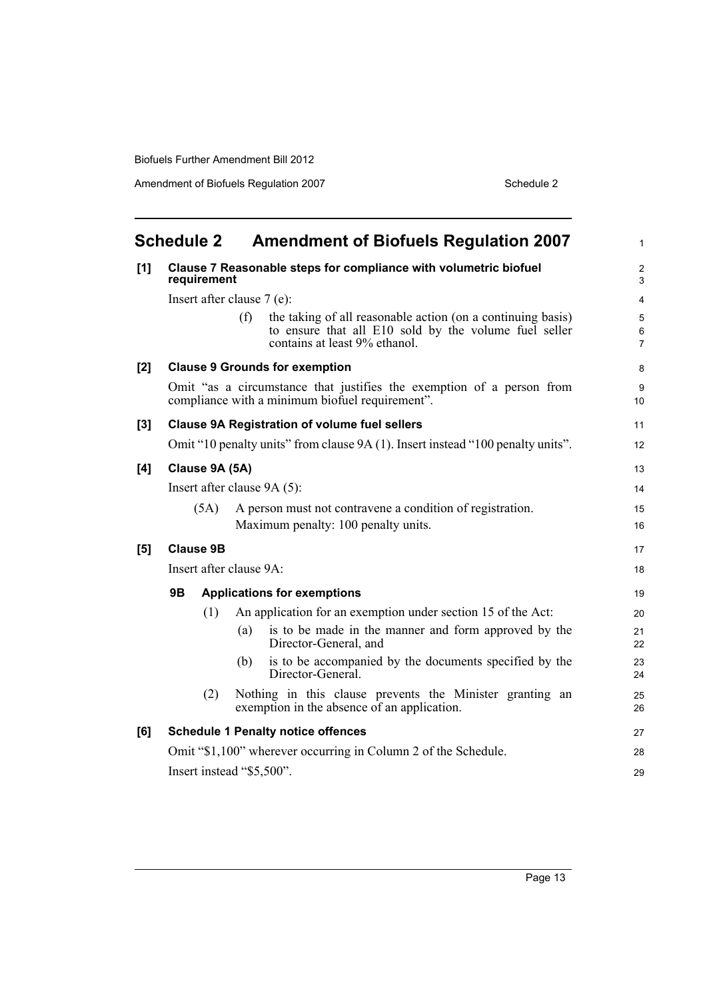Amendment of Biofuels Regulation 2007 Schedule 2

<span id="page-18-0"></span>

|     | <b>Schedule 2</b>       | <b>Amendment of Biofuels Regulation 2007</b>                                                                                                                 | $\mathbf{1}$                       |
|-----|-------------------------|--------------------------------------------------------------------------------------------------------------------------------------------------------------|------------------------------------|
| [1] | requirement             | Clause 7 Reasonable steps for compliance with volumetric biofuel                                                                                             | $\boldsymbol{2}$<br>3              |
|     |                         | Insert after clause 7 (e):                                                                                                                                   | $\overline{4}$                     |
|     |                         | (f)<br>the taking of all reasonable action (on a continuing basis)<br>to ensure that all E10 sold by the volume fuel seller<br>contains at least 9% ethanol. | $\mathbf 5$<br>6<br>$\overline{7}$ |
| [2] |                         | <b>Clause 9 Grounds for exemption</b>                                                                                                                        | 8                                  |
|     |                         | Omit "as a circumstance that justifies the exemption of a person from<br>compliance with a minimum biofuel requirement".                                     | $\boldsymbol{9}$<br>10             |
| [3] |                         | <b>Clause 9A Registration of volume fuel sellers</b>                                                                                                         | 11                                 |
|     |                         | Omit "10 penalty units" from clause 9A (1). Insert instead "100 penalty units".                                                                              | 12                                 |
| [4] | Clause 9A (5A)          |                                                                                                                                                              | 13                                 |
|     |                         | Insert after clause 9A (5):                                                                                                                                  | 14                                 |
|     | (5A)                    | A person must not contravene a condition of registration.                                                                                                    | 15                                 |
|     |                         | Maximum penalty: 100 penalty units.                                                                                                                          | 16                                 |
| [5] | <b>Clause 9B</b>        |                                                                                                                                                              | 17                                 |
|     | Insert after clause 9A: |                                                                                                                                                              | 18                                 |
|     | 9Β                      | <b>Applications for exemptions</b>                                                                                                                           | 19                                 |
|     | (1)                     | An application for an exemption under section 15 of the Act:                                                                                                 | 20                                 |
|     |                         | is to be made in the manner and form approved by the<br>(a)<br>Director-General, and                                                                         | 21<br>22                           |
|     |                         | is to be accompanied by the documents specified by the<br>(b)<br>Director-General.                                                                           | 23<br>24                           |
|     | (2)                     | Nothing in this clause prevents the Minister granting an<br>exemption in the absence of an application.                                                      | 25<br>26                           |
| [6] |                         | <b>Schedule 1 Penalty notice offences</b>                                                                                                                    | 27                                 |
|     |                         | Omit "\$1,100" wherever occurring in Column 2 of the Schedule.                                                                                               | 28                                 |
|     |                         | Insert instead "\$5,500".                                                                                                                                    | 29                                 |